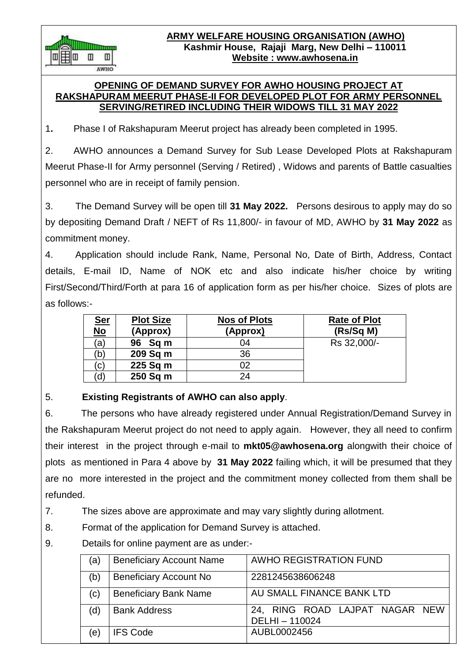**ARMY WELFARE HOUSING ORGANISATION (AWHO) Kashmir House, Rajaji Marg, New Delhi – 110011 Website : www.awhosena.in**

#### **OPENING OF DEMAND SURVEY FOR AWHO HOUSING PROJECT AT RAKSHAPURAM MEERUT PHASE-II FOR DEVELOPED PLOT FOR ARMY PERSONNEL SERVING/RETIRED INCLUDING THEIR WIDOWS TILL 31 MAY 2022**

1**.** Phase I of Rakshapuram Meerut project has already been completed in 1995.

2. AWHO announces a Demand Survey for Sub Lease Developed Plots at Rakshapuram Meerut Phase-II for Army personnel (Serving / Retired) , Widows and parents of Battle casualties personnel who are in receipt of family pension.

3. The Demand Survey will be open till **31 May 2022.** Persons desirous to apply may do so by depositing Demand Draft / NEFT of Rs 11,800/- in favour of MD, AWHO by **31 May 2022** as commitment money.

4. Application should include Rank, Name, Personal No, Date of Birth, Address, Contact details, E-mail ID, Name of NOK etc and also indicate his/her choice by writing First/Second/Third/Forth at para 16 of application form as per his/her choice. Sizes of plots are as follows:-

| <u>Ser</u><br>$\overline{\text{No}}$ | <b>Plot Size</b><br>(Approx) | <b>Nos of Plots</b><br>(Approx) | <b>Rate of Plot</b><br>(Rs/Sq M) |
|--------------------------------------|------------------------------|---------------------------------|----------------------------------|
| (a)                                  | 96 Sq m                      | 04                              | Rs 32,000/-                      |
| (b)                                  | 209 Sq m                     | 36                              |                                  |
| $\mathsf{C})$                        | 225 Sq m                     | 02                              |                                  |
| d)                                   | 250 Sq m                     | 24                              |                                  |

# 5. **Existing Registrants of AWHO can also apply**.

m

 $\mathbb{I}$ AWHO

6. The persons who have already registered under Annual Registration/Demand Survey in the Rakshapuram Meerut project do not need to apply again. However, they all need to confirm their interest in the project through e-mail to **mkt05@awhosena.org** alongwith their choice of plots as mentioned in Para 4 above by **31 May 2022** failing which, it will be presumed that they are no more interested in the project and the commitment money collected from them shall be refunded.

7. The sizes above are approximate and may vary slightly during allotment.

- 8. Format of the application for Demand Survey is attached.
- 9. Details for online payment are as under:-

| (a) | <b>Beneficiary Account Name</b> | <b>AWHO REGISTRATION FUND</b>                  |
|-----|---------------------------------|------------------------------------------------|
| (b) | <b>Beneficiary Account No</b>   | 2281245638606248                               |
| (c) | <b>Beneficiary Bank Name</b>    | AU SMALL FINANCE BANK LTD                      |
| (d) | <b>Bank Address</b>             | 24, RING ROAD LAJPAT NAGAR NEW<br>DELHI-110024 |
| (e) | <b>IFS Code</b>                 | AUBL0002456                                    |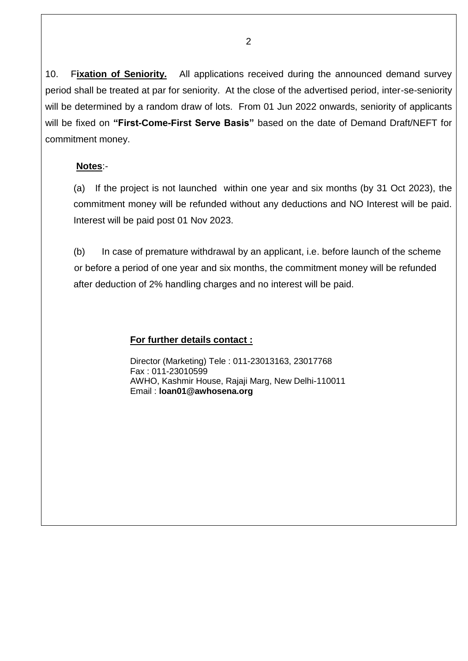10. F**ixation of Seniority.** All applications received during the announced demand survey period shall be treated at par for seniority. At the close of the advertised period, inter-se-seniority will be determined by a random draw of lots. From 01 Jun 2022 onwards, seniority of applicants will be fixed on **"First-Come-First Serve Basis"** based on the date of Demand Draft/NEFT for commitment money.

## **Notes**:-

 (a) If the project is not launched within one year and six months (by 31 Oct 2023), the commitment money will be refunded without any deductions and NO Interest will be paid. Interest will be paid post 01 Nov 2023.

(b) In case of premature withdrawal by an applicant, i.e. before launch of the scheme or before a period of one year and six months, the commitment money will be refunded after deduction of 2% handling charges and no interest will be paid.

## **For further details contact :**

Director (Marketing) Tele : 011-23013163, 23017768 Fax : 011-23010599 AWHO, Kashmir House, Rajaji Marg, New Delhi-110011 Email : **loan01@awhosena.org**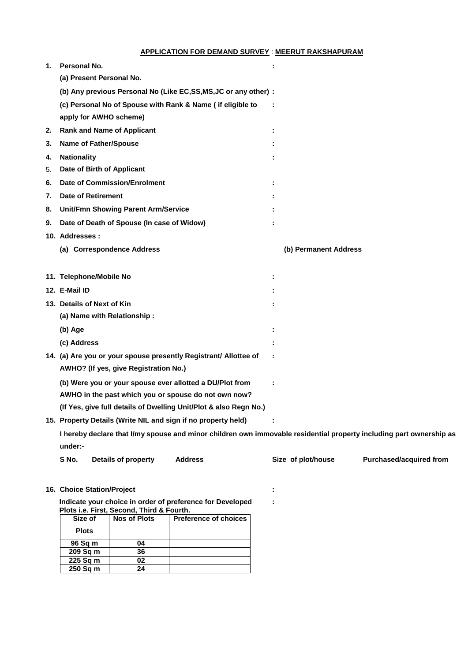#### **APPLICATION FOR DEMAND SURVEY** : **MEERUT RAKSHAPURAM**

| 1. | Personal No.                                                                                                                   |                | ÷  |                       |                                |
|----|--------------------------------------------------------------------------------------------------------------------------------|----------------|----|-----------------------|--------------------------------|
|    | (a) Present Personal No.                                                                                                       |                |    |                       |                                |
|    | (b) Any previous Personal No (Like EC, SS, MS, JC or any other) :                                                              |                |    |                       |                                |
|    | (c) Personal No of Spouse with Rank & Name ( if eligible to                                                                    |                |    |                       |                                |
|    | apply for AWHO scheme)                                                                                                         |                |    |                       |                                |
| 2. | <b>Rank and Name of Applicant</b>                                                                                              |                | ÷  |                       |                                |
| 3. | <b>Name of Father/Spouse</b>                                                                                                   |                |    |                       |                                |
| 4. | <b>Nationality</b>                                                                                                             |                |    |                       |                                |
| 5. | Date of Birth of Applicant                                                                                                     |                |    |                       |                                |
| 6. | <b>Date of Commission/Enrolment</b>                                                                                            |                | Ė  |                       |                                |
| 7. | <b>Date of Retirement</b>                                                                                                      |                |    |                       |                                |
| 8. | <b>Unit/Fmn Showing Parent Arm/Service</b>                                                                                     |                |    |                       |                                |
| 9. | Date of Death of Spouse (In case of Widow)                                                                                     |                |    |                       |                                |
|    | 10. Addresses:                                                                                                                 |                |    |                       |                                |
|    | (a) Correspondence Address                                                                                                     |                |    | (b) Permanent Address |                                |
|    |                                                                                                                                |                |    |                       |                                |
|    | 11. Telephone/Mobile No                                                                                                        |                | Ì. |                       |                                |
|    | 12. E-Mail ID                                                                                                                  |                |    |                       |                                |
|    | 13. Details of Next of Kin                                                                                                     |                |    |                       |                                |
|    | (a) Name with Relationship:                                                                                                    |                |    |                       |                                |
|    | (b) Age                                                                                                                        |                |    |                       |                                |
|    | (c) Address                                                                                                                    |                |    |                       |                                |
|    | 14. (a) Are you or your spouse presently Registrant/ Allottee of                                                               |                |    |                       |                                |
|    | AWHO? (If yes, give Registration No.)                                                                                          |                |    |                       |                                |
|    | (b) Were you or your spouse ever allotted a DU/Plot from                                                                       |                |    |                       |                                |
|    | AWHO in the past which you or spouse do not own now?                                                                           |                |    |                       |                                |
|    | (If Yes, give full details of Dwelling Unit/Plot & also Regn No.)                                                              |                |    |                       |                                |
|    | 15. Property Details (Write NIL and sign if no property held)                                                                  |                |    |                       |                                |
|    | I hereby declare that I/my spouse and minor children own immovable residential property including part ownership as<br>under:- |                |    |                       |                                |
|    | S No.<br>Details of property                                                                                                   | <b>Address</b> |    | Size of plot/house    | <b>Purchased/acquired from</b> |

**: :**

**16. Choice Station/Project**

**Indicate your choice in order of preference for Developed Plots i.e. First, Second, Third & Fourth.**

| Size of      | <b>Nos of Plots</b> | <b>Preference of choices</b> |
|--------------|---------------------|------------------------------|
| <b>Plots</b> |                     |                              |
| 96 Sq m      | 04                  |                              |
| 209 Sq m     | 36                  |                              |
| 225 Sq m     | 02                  |                              |
| 250 Sq m     | 24                  |                              |